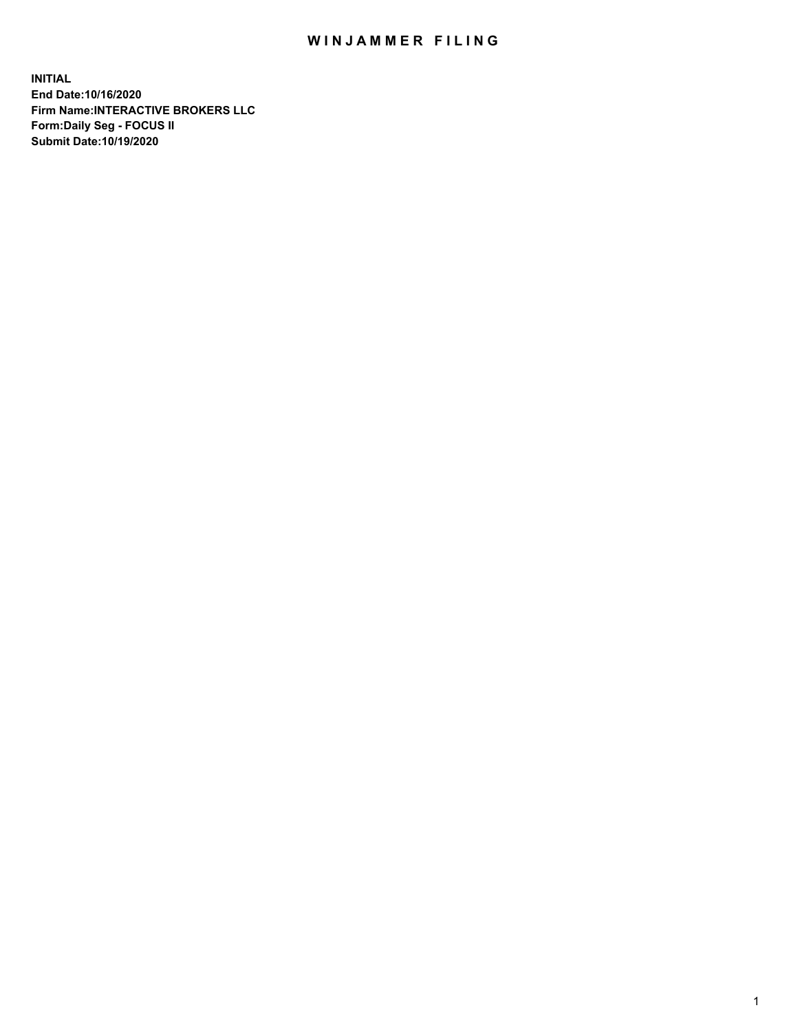## WIN JAMMER FILING

**INITIAL End Date:10/16/2020 Firm Name:INTERACTIVE BROKERS LLC Form:Daily Seg - FOCUS II Submit Date:10/19/2020**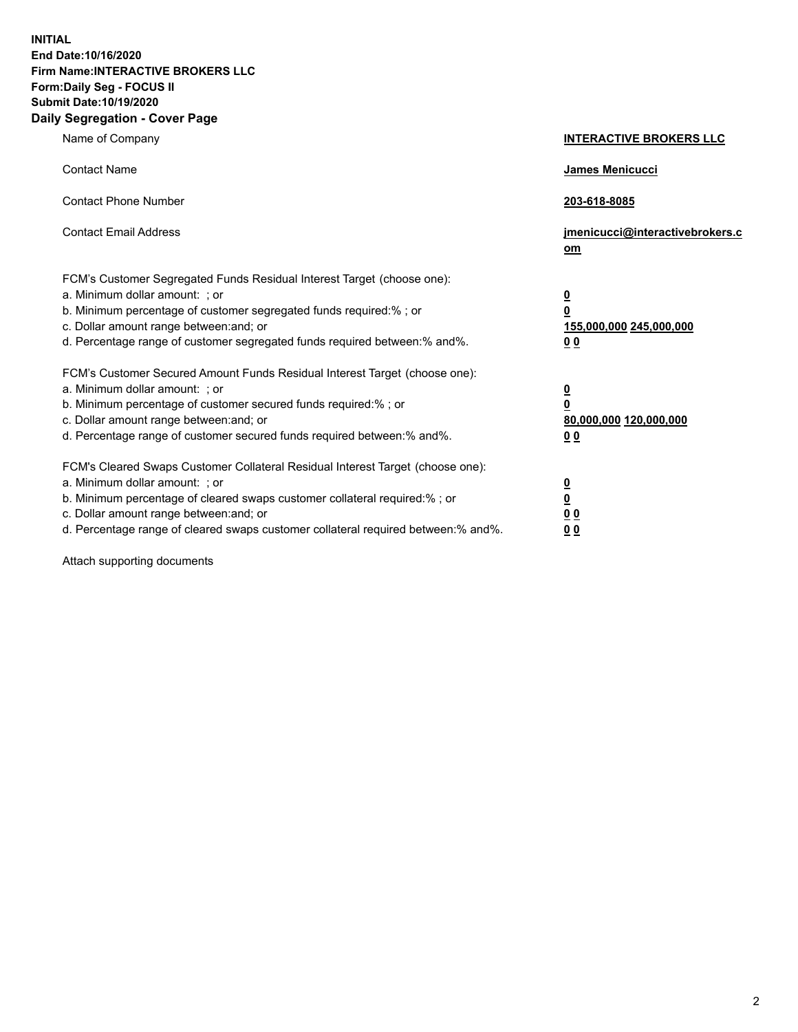**INITIAL End Date:10/16/2020 Firm Name:INTERACTIVE BROKERS LLC Form:Daily Seg - FOCUS II Submit Date:10/19/2020 Daily Segregation - Cover Page**

| Name of Company                                                                                                                                                                                                                                                                                                                | <b>INTERACTIVE BROKERS LLC</b>                                                  |  |
|--------------------------------------------------------------------------------------------------------------------------------------------------------------------------------------------------------------------------------------------------------------------------------------------------------------------------------|---------------------------------------------------------------------------------|--|
| <b>Contact Name</b>                                                                                                                                                                                                                                                                                                            | James Menicucci                                                                 |  |
| <b>Contact Phone Number</b>                                                                                                                                                                                                                                                                                                    | 203-618-8085                                                                    |  |
| <b>Contact Email Address</b>                                                                                                                                                                                                                                                                                                   | jmenicucci@interactivebrokers.c<br>om                                           |  |
| FCM's Customer Segregated Funds Residual Interest Target (choose one):<br>a. Minimum dollar amount: ; or<br>b. Minimum percentage of customer segregated funds required:%; or<br>c. Dollar amount range between: and; or<br>d. Percentage range of customer segregated funds required between:% and%.                          | <u>0</u><br>$\overline{\mathbf{0}}$<br>155,000,000 245,000,000<br><u>00</u>     |  |
| FCM's Customer Secured Amount Funds Residual Interest Target (choose one):<br>a. Minimum dollar amount: ; or<br>b. Minimum percentage of customer secured funds required:% ; or<br>c. Dollar amount range between: and; or<br>d. Percentage range of customer secured funds required between:% and%.                           | <u>0</u><br>$\overline{\mathbf{0}}$<br>80,000,000 120,000,000<br>0 <sub>0</sub> |  |
| FCM's Cleared Swaps Customer Collateral Residual Interest Target (choose one):<br>a. Minimum dollar amount: ; or<br>b. Minimum percentage of cleared swaps customer collateral required:% ; or<br>c. Dollar amount range between: and; or<br>d. Percentage range of cleared swaps customer collateral required between:% and%. | <u>0</u><br>$\underline{\mathbf{0}}$<br>0 <sub>0</sub><br>0 <sub>0</sub>        |  |

Attach supporting documents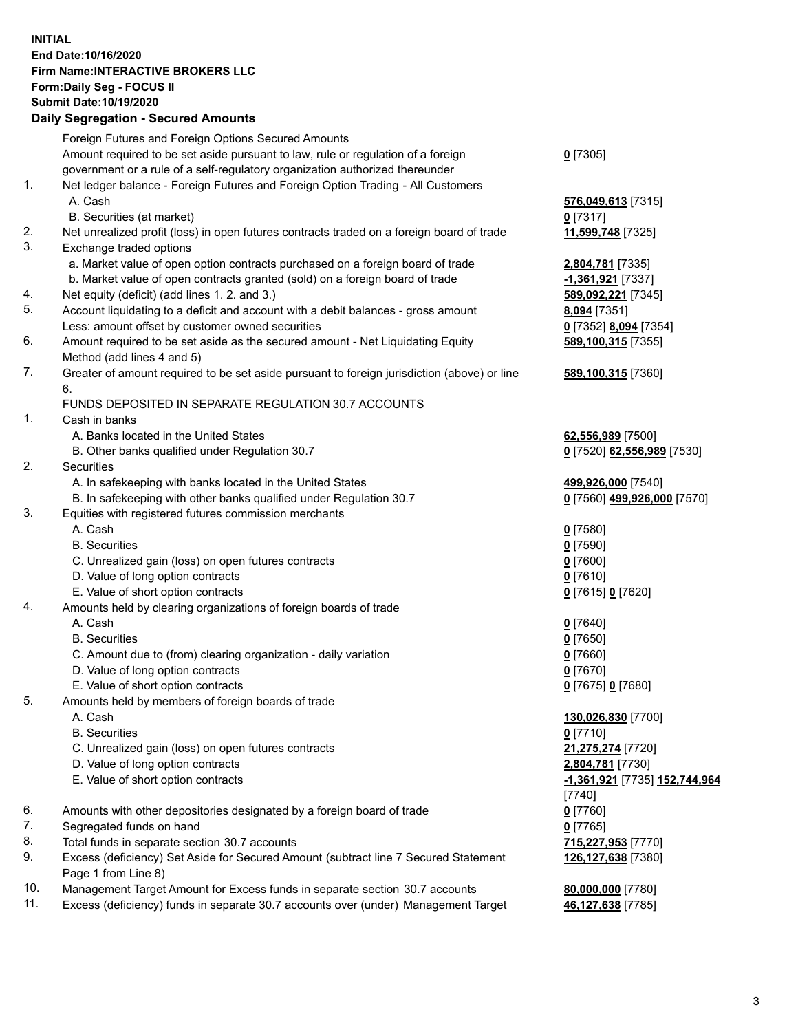**INITIAL End Date:10/16/2020 Firm Name:INTERACTIVE BROKERS LLC Form:Daily Seg - FOCUS II Submit Date:10/19/2020 Daily Segregation - Secured Amounts**

## Foreign Futures and Foreign Options Secured Amounts Amount required to be set aside pursuant to law, rule or regulation of a foreign government or a rule of a self-regulatory organization authorized thereunder **0** [7305] 1. Net ledger balance - Foreign Futures and Foreign Option Trading - All Customers A. Cash **576,049,613** [7315] B. Securities (at market) **0** [7317] 2. Net unrealized profit (loss) in open futures contracts traded on a foreign board of trade **11,599,748** [7325] 3. Exchange traded options a. Market value of open option contracts purchased on a foreign board of trade **2,804,781** [7335] b. Market value of open contracts granted (sold) on a foreign board of trade **-1,361,921** [7337] 4. Net equity (deficit) (add lines 1. 2. and 3.) **589,092,221** [7345] 5. Account liquidating to a deficit and account with a debit balances - gross amount **8,094** [7351] Less: amount offset by customer owned securities **0** [7352] **8,094** [7354] 6. Amount required to be set aside as the secured amount - Net Liquidating Equity Method (add lines 4 and 5) **589,100,315** [7355] 7. Greater of amount required to be set aside pursuant to foreign jurisdiction (above) or line 6. **589,100,315** [7360] FUNDS DEPOSITED IN SEPARATE REGULATION 30.7 ACCOUNTS 1. Cash in banks A. Banks located in the United States **62,556,989** [7500] B. Other banks qualified under Regulation 30.7 **0** [7520] **62,556,989** [7530] 2. Securities A. In safekeeping with banks located in the United States **499,926,000** [7540] B. In safekeeping with other banks qualified under Regulation 30.7 **0** [7560] **499,926,000** [7570] 3. Equities with registered futures commission merchants A. Cash **0** [7580] B. Securities **0** [7590] C. Unrealized gain (loss) on open futures contracts **0** [7600] D. Value of long option contracts **0** [7610] E. Value of short option contracts **0** [7615] **0** [7620] 4. Amounts held by clearing organizations of foreign boards of trade A. Cash **0** [7640] B. Securities **0** [7650] C. Amount due to (from) clearing organization - daily variation **0** [7660] D. Value of long option contracts **0** [7670] E. Value of short option contracts **0** [7675] **0** [7680] 5. Amounts held by members of foreign boards of trade A. Cash **130,026,830** [7700] B. Securities **0** [7710] C. Unrealized gain (loss) on open futures contracts **21,275,274** [7720] D. Value of long option contracts **2,804,781** [7730] E. Value of short option contracts **-1,361,921** [7735] **152,744,964** [7740] 6. Amounts with other depositories designated by a foreign board of trade **0** [7760] 7. Segregated funds on hand **0** [7765] 8. Total funds in separate section 30.7 accounts **715,227,953** [7770] 9. Excess (deficiency) Set Aside for Secured Amount (subtract line 7 Secured Statement Page 1 from Line 8) **126,127,638** [7380] 10. Management Target Amount for Excess funds in separate section 30.7 accounts **80,000,000** [7780] 11. Excess (deficiency) funds in separate 30.7 accounts over (under) Management Target **46,127,638** [7785]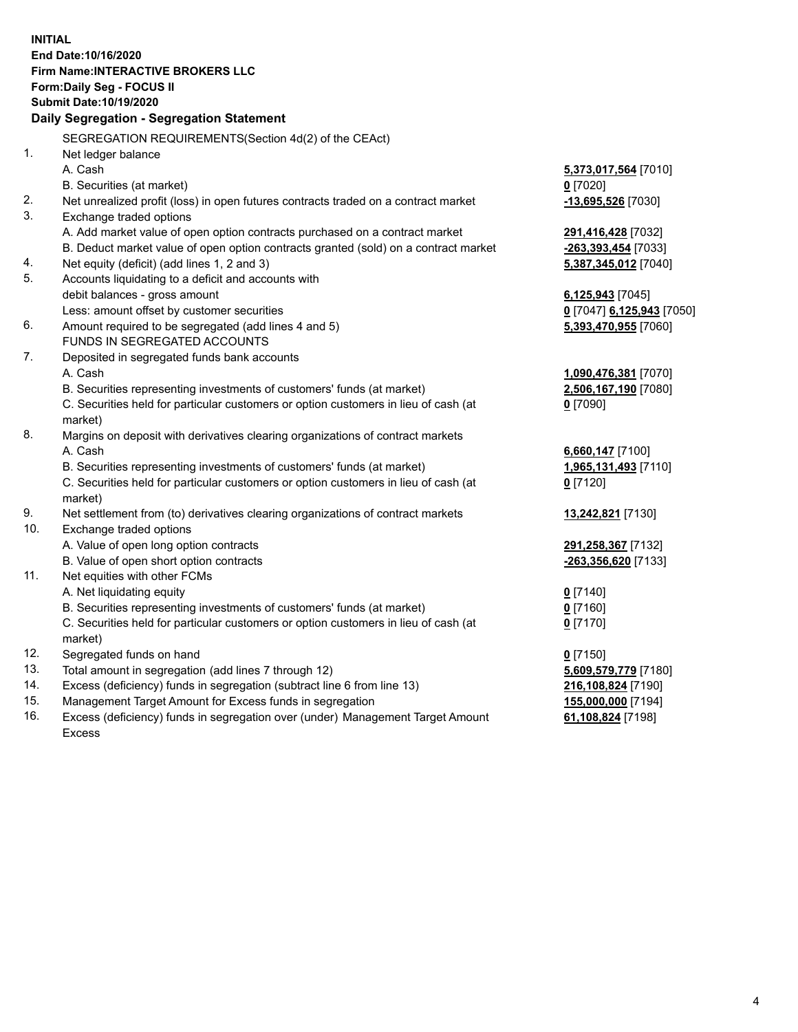**INITIAL End Date:10/16/2020 Firm Name:INTERACTIVE BROKERS LLC Form:Daily Seg - FOCUS II Submit Date:10/19/2020 Daily Segregation - Segregation Statement** SEGREGATION REQUIREMENTS(Section 4d(2) of the CEAct) 1. Net ledger balance A. Cash **5,373,017,564** [7010] B. Securities (at market) **0** [7020] 2. Net unrealized profit (loss) in open futures contracts traded on a contract market **-13,695,526** [7030] 3. Exchange traded options A. Add market value of open option contracts purchased on a contract market **291,416,428** [7032] B. Deduct market value of open option contracts granted (sold) on a contract market **-263,393,454** [7033] 4. Net equity (deficit) (add lines 1, 2 and 3) **5,387,345,012** [7040] 5. Accounts liquidating to a deficit and accounts with debit balances - gross amount **6,125,943** [7045] Less: amount offset by customer securities **0** [7047] **6,125,943** [7050] 6. Amount required to be segregated (add lines 4 and 5) **5,393,470,955** [7060] FUNDS IN SEGREGATED ACCOUNTS 7. Deposited in segregated funds bank accounts A. Cash **1,090,476,381** [7070] B. Securities representing investments of customers' funds (at market) **2,506,167,190** [7080] C. Securities held for particular customers or option customers in lieu of cash (at market) **0** [7090] 8. Margins on deposit with derivatives clearing organizations of contract markets A. Cash **6,660,147** [7100] B. Securities representing investments of customers' funds (at market) **1,965,131,493** [7110] C. Securities held for particular customers or option customers in lieu of cash (at market) **0** [7120] 9. Net settlement from (to) derivatives clearing organizations of contract markets **13,242,821** [7130] 10. Exchange traded options A. Value of open long option contracts **291,258,367** [7132] B. Value of open short option contracts **-263,356,620** [7133] 11. Net equities with other FCMs A. Net liquidating equity **0** [7140] B. Securities representing investments of customers' funds (at market) **0** [7160] C. Securities held for particular customers or option customers in lieu of cash (at market) **0** [7170] 12. Segregated funds on hand **0** [7150] 13. Total amount in segregation (add lines 7 through 12) **5,609,579,779** [7180] 14. Excess (deficiency) funds in segregation (subtract line 6 from line 13) **216,108,824** [7190] 15. Management Target Amount for Excess funds in segregation **155,000,000** [7194] 16. Excess (deficiency) funds in segregation over (under) Management Target Amount **61,108,824** [7198]

Excess